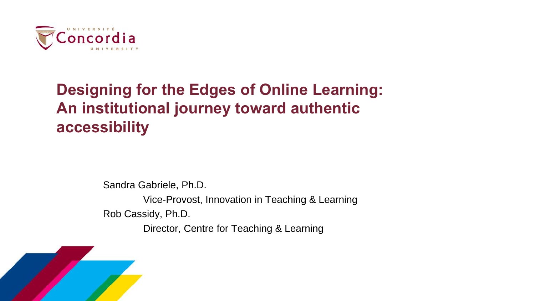

## **Designing for the Edges of Online Learning: An institutional journey toward authentic accessibility**

Sandra Gabriele, Ph.D.

Vice-Provost, Innovation in Teaching & Learning Rob Cassidy, Ph.D. Director, Centre for Teaching & Learning

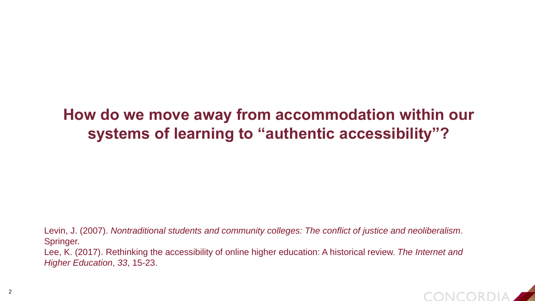### **How do we move away from accommodation within our systems of learning to "authentic accessibility"?**

Levin, J. (2007). *Nontraditional students and community colleges: The conflict of justice and neoliberalism*. Springer.

Lee, K. (2017). Rethinking the accessibility of online higher education: A historical review. *The Internet and Higher Education*, *33*, 15-23.

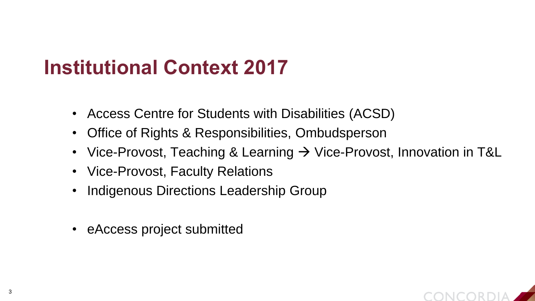## **Institutional Context 2017**

- Access Centre for Students with Disabilities (ACSD)
- Office of Rights & Responsibilities, Ombudsperson
- Vice-Provost, Teaching & Learning  $\rightarrow$  Vice-Provost, Innovation in T&L
- Vice-Provost, Faculty Relations
- Indigenous Directions Leadership Group
- eAccess project submitted

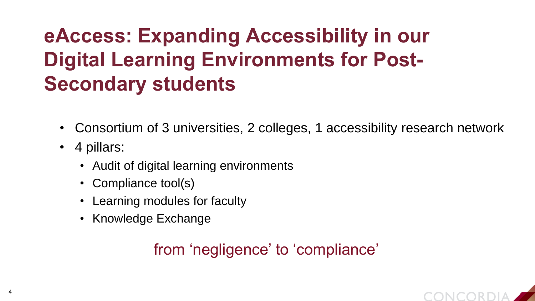# **eAccess: Expanding Accessibility in our Digital Learning Environments for Post-Secondary students**

- Consortium of 3 universities, 2 colleges, 1 accessibility research network
- 4 pillars:
	- Audit of digital learning environments
	- Compliance tool(s)
	- Learning modules for faculty
	- Knowledge Exchange

### from 'negligence' to 'compliance'

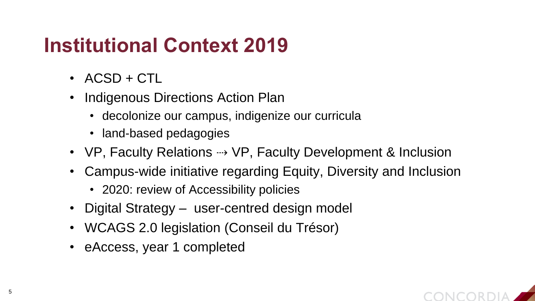## **Institutional Context 2019**

- ACSD + CTL
- Indigenous Directions Action Plan
	- decolonize our campus, indigenize our curricula
	- land-based pedagogies
- VP, Faculty Relations → VP, Faculty Development & Inclusion
- Campus-wide initiative regarding Equity, Diversity and Inclusion
	- 2020: review of Accessibility policies
- Digital Strategy user-centred design model
- WCAGS 2.0 legislation (Conseil du Trésor)
- eAccess, year 1 completed

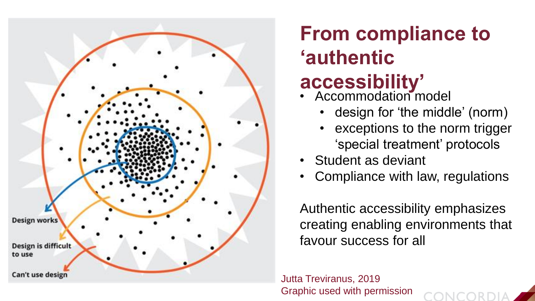

# **From compliance to 'authentic**

# **accessibility'**

- Accommodation model
	- design for 'the middle' (norm)
	- exceptions to the norm trigger 'special treatment' protocols
- Student as deviant
- Compliance with law, regulations

Authentic accessibility emphasizes creating enabling environments that favour success for all

Jutta Treviranus, 2019 Graphic used with permission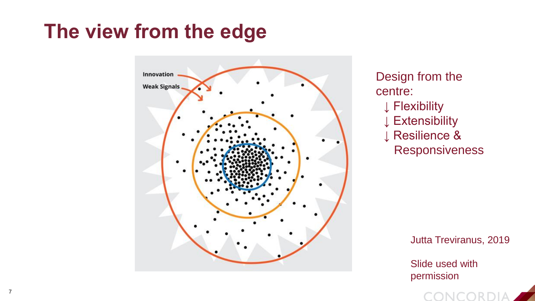## **The view from the edge**



Design from the centre: ↓ Flexibility ↓ Extensibility ↓ Resilience & Responsiveness

Jutta Treviranus, 2019

Slide used with permission

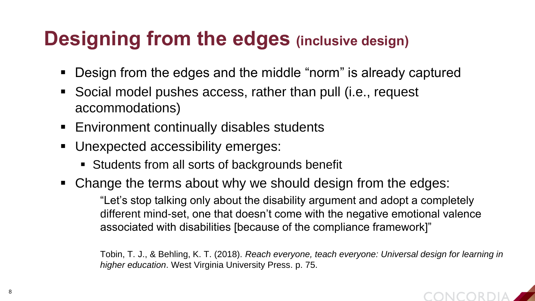## **Designing from the edges (inclusive design)**

- Design from the edges and the middle "norm" is already captured
- Social model pushes access, rather than pull (i.e., request accommodations)
- **Environment continually disables students**
- **Unexpected accessibility emerges:** 
	- Students from all sorts of backgrounds benefit
- Change the terms about why we should design from the edges:

"Let's stop talking only about the disability argument and adopt a completely different mind-set, one that doesn't come with the negative emotional valence associated with disabilities [because of the compliance framework]"

Tobin, T. J., & Behling, K. T. (2018). *Reach everyone, teach everyone: Universal design for learning in higher education*. West Virginia University Press. p. 75.

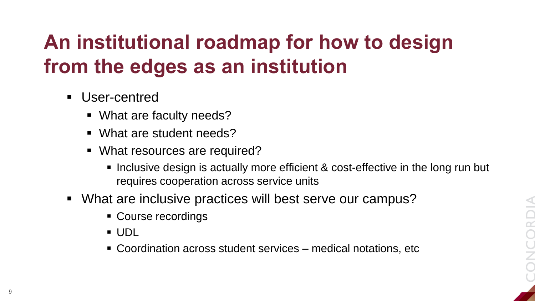# **An institutional roadmap for how to design from the edges as an institution**

- **User-centred** 
	- What are faculty needs?
	- What are student needs?
	- What resources are required?
		- Inclusive design is actually more efficient & cost-effective in the long run but requires cooperation across service units
- What are inclusive practices will best serve our campus?
	- Course recordings
	- UDL
	- Coordination across student services medical notations, etc